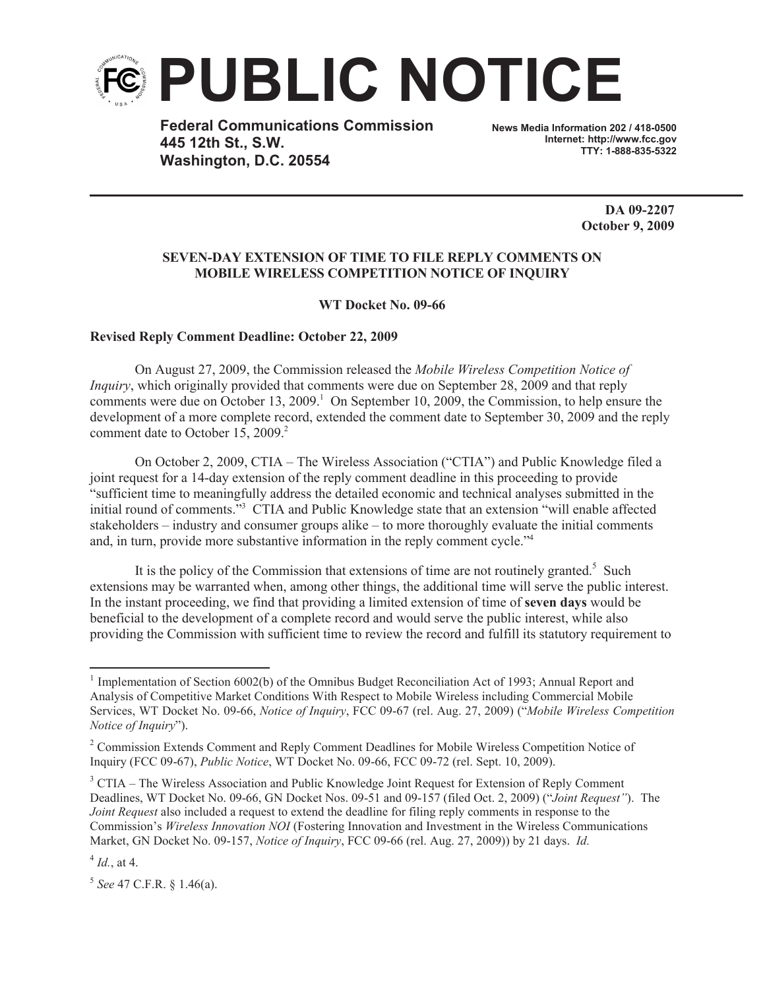

**Federal Communications Commission 445 12th St., S.W. Washington, D.C. 20554**

**News Media Information 202 / 418-0500 Internet: http://www.fcc.gov TTY: 1-888-835-5322**

> **DA 09-2207 October 9, 2009**

## **SEVEN-DAY EXTENSION OF TIME TO FILE REPLY COMMENTS ON MOBILE WIRELESS COMPETITION NOTICE OF INQUIRY**

**WT Docket No. 09-66**

## **Revised Reply Comment Deadline: October 22, 2009**

On August 27, 2009, the Commission released the *Mobile Wireless Competition Notice of Inquiry*, which originally provided that comments were due on September 28, 2009 and that reply comments were due on October 13, 2009.<sup>1</sup> On September 10, 2009, the Commission, to help ensure the development of a more complete record, extended the comment date to September 30, 2009 and the reply comment date to October 15, 2009.<sup>2</sup>

On October 2, 2009, CTIA – The Wireless Association ("CTIA") and Public Knowledge filed a joint request for a 14-day extension of the reply comment deadline in this proceeding to provide "sufficient time to meaningfully address the detailed economic and technical analyses submitted in the initial round of comments.<sup>33</sup> CTIA and Public Knowledge state that an extension "will enable affected stakeholders – industry and consumer groups alike – to more thoroughly evaluate the initial comments and, in turn, provide more substantive information in the reply comment cycle."<sup>4</sup>

It is the policy of the Commission that extensions of time are not routinely granted.<sup>5</sup> Such extensions may be warranted when, among other things, the additional time will serve the public interest. In the instant proceeding, we find that providing a limited extension of time of **seven days** would be beneficial to the development of a complete record and would serve the public interest, while also providing the Commission with sufficient time to review the record and fulfill its statutory requirement to

<sup>&</sup>lt;sup>1</sup> Implementation of Section 6002(b) of the Omnibus Budget Reconciliation Act of 1993; Annual Report and Analysis of Competitive Market Conditions With Respect to Mobile Wireless including Commercial Mobile Services, WT Docket No. 09-66, *Notice of Inquiry*, FCC 09-67 (rel. Aug. 27, 2009) ("*Mobile Wireless Competition Notice of Inquiry*").

<sup>&</sup>lt;sup>2</sup> Commission Extends Comment and Reply Comment Deadlines for Mobile Wireless Competition Notice of Inquiry (FCC 09-67), *Public Notice*, WT Docket No. 09-66, FCC 09-72 (rel. Sept. 10, 2009).

 $3$  CTIA – The Wireless Association and Public Knowledge Joint Request for Extension of Reply Comment Deadlines, WT Docket No. 09-66, GN Docket Nos. 09-51 and 09-157 (filed Oct. 2, 2009) ("*Joint Request"*). The *Joint Request* also included a request to extend the deadline for filing reply comments in response to the Commission's *Wireless Innovation NOI* (Fostering Innovation and Investment in the Wireless Communications Market, GN Docket No. 09-157, *Notice of Inquiry*, FCC 09-66 (rel. Aug. 27, 2009)) by 21 days. *Id.*

 $^{4}$  *Id.*, at 4.

<sup>5</sup> *See* 47 C.F.R. § 1.46(a).